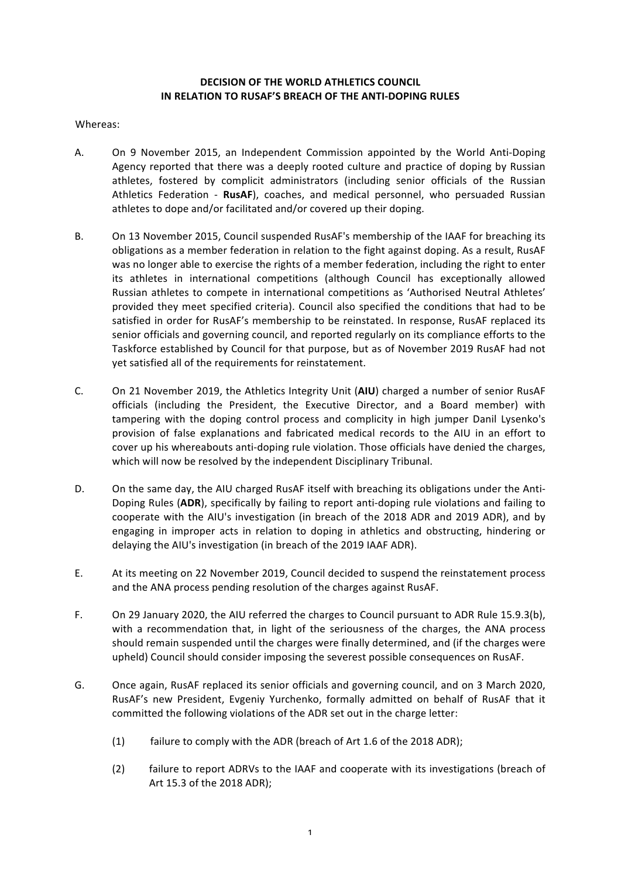## **DECISION OF THE WORLD ATHLETICS COUNCIL IN RELATION TO RUSAF'S BREACH OF THE ANTI-DOPING RULES**

## Whereas:

- A. On 9 November 2015, an Independent Commission appointed by the World Anti-Doping Agency reported that there was a deeply rooted culture and practice of doping by Russian athletes, fostered by complicit administrators (including senior officials of the Russian Athletics Federation - RusAF), coaches, and medical personnel, who persuaded Russian athletes to dope and/or facilitated and/or covered up their doping.
- B. On 13 November 2015, Council suspended RusAF's membership of the IAAF for breaching its obligations as a member federation in relation to the fight against doping. As a result, RusAF was no longer able to exercise the rights of a member federation, including the right to enter its athletes in international competitions (although Council has exceptionally allowed Russian athletes to compete in international competitions as 'Authorised Neutral Athletes' provided they meet specified criteria). Council also specified the conditions that had to be satisfied in order for RusAF's membership to be reinstated. In response, RusAF replaced its senior officials and governing council, and reported regularly on its compliance efforts to the Taskforce established by Council for that purpose, but as of November 2019 RusAF had not yet satisfied all of the requirements for reinstatement.
- C. On 21 November 2019, the Athletics Integrity Unit (AIU) charged a number of senior RusAF officials (including the President, the Executive Director, and a Board member) with tampering with the doping control process and complicity in high jumper Danil Lysenko's provision of false explanations and fabricated medical records to the AIU in an effort to cover up his whereabouts anti-doping rule violation. Those officials have denied the charges, which will now be resolved by the independent Disciplinary Tribunal.
- D. On the same day, the AIU charged RusAF itself with breaching its obligations under the Anti-Doping Rules (ADR), specifically by failing to report anti-doping rule violations and failing to cooperate with the AIU's investigation (in breach of the 2018 ADR and 2019 ADR), and by engaging in improper acts in relation to doping in athletics and obstructing, hindering or delaying the AIU's investigation (in breach of the 2019 IAAF ADR).
- E. At its meeting on 22 November 2019, Council decided to suspend the reinstatement process and the ANA process pending resolution of the charges against RusAF.
- F. On 29 January 2020, the AIU referred the charges to Council pursuant to ADR Rule 15.9.3(b), with a recommendation that, in light of the seriousness of the charges, the ANA process should remain suspended until the charges were finally determined, and (if the charges were upheld) Council should consider imposing the severest possible consequences on RusAF.
- G. Once again, RusAF replaced its senior officials and governing council, and on 3 March 2020, RusAF's new President, Evgeniy Yurchenko, formally admitted on behalf of RusAF that it committed the following violations of the ADR set out in the charge letter:
	- (1) failure to comply with the ADR (breach of Art 1.6 of the 2018 ADR);
	- (2) failure to report ADRVs to the IAAF and cooperate with its investigations (breach of Art 15.3 of the 2018 ADR):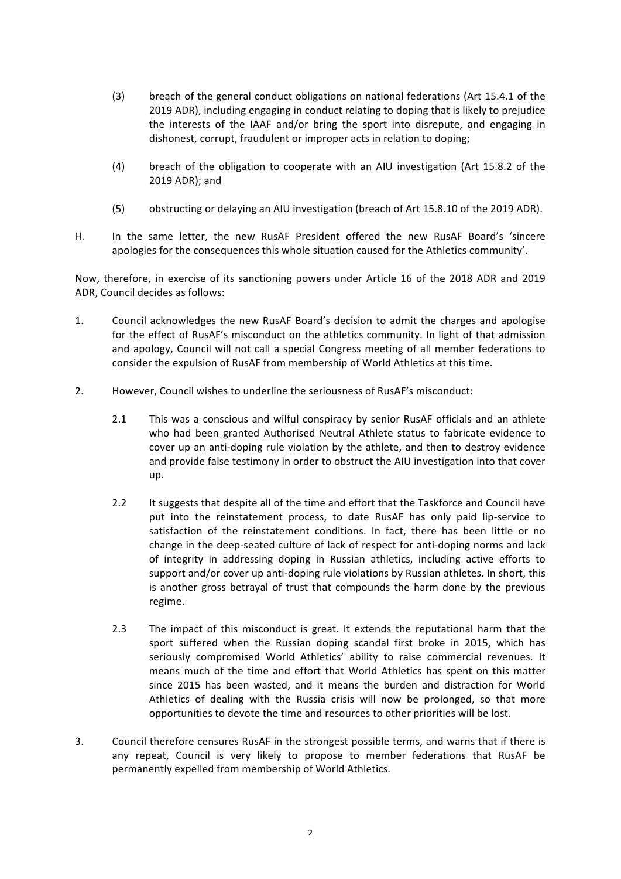- (3) breach of the general conduct obligations on national federations (Art 15.4.1 of the 2019 ADR), including engaging in conduct relating to doping that is likely to prejudice the interests of the IAAF and/or bring the sport into disrepute, and engaging in dishonest, corrupt, fraudulent or improper acts in relation to doping;
- (4) breach of the obligation to cooperate with an AIU investigation (Art 15.8.2 of the 2019 ADR): and
- (5) obstructing or delaying an AIU investigation (breach of Art 15.8.10 of the 2019 ADR).
- H. In the same letter, the new RusAF President offered the new RusAF Board's 'sincere apologies for the consequences this whole situation caused for the Athletics community'.

Now, therefore, in exercise of its sanctioning powers under Article 16 of the 2018 ADR and 2019 ADR, Council decides as follows:

- 1. Council acknowledges the new RusAF Board's decision to admit the charges and apologise for the effect of RusAF's misconduct on the athletics community. In light of that admission and apology, Council will not call a special Congress meeting of all member federations to consider the expulsion of RusAF from membership of World Athletics at this time.
- 2. However, Council wishes to underline the seriousness of RusAF's misconduct:
	- 2.1 This was a conscious and wilful conspiracy by senior RusAF officials and an athlete who had been granted Authorised Neutral Athlete status to fabricate evidence to cover up an anti-doping rule violation by the athlete, and then to destroy evidence and provide false testimony in order to obstruct the AIU investigation into that cover up.
	- 2.2 It suggests that despite all of the time and effort that the Taskforce and Council have put into the reinstatement process, to date RusAF has only paid lip-service to satisfaction of the reinstatement conditions. In fact, there has been little or no change in the deep-seated culture of lack of respect for anti-doping norms and lack of integrity in addressing doping in Russian athletics, including active efforts to support and/or cover up anti-doping rule violations by Russian athletes. In short, this is another gross betrayal of trust that compounds the harm done by the previous regime.
	- 2.3 The impact of this misconduct is great. It extends the reputational harm that the sport suffered when the Russian doping scandal first broke in 2015, which has seriously compromised World Athletics' ability to raise commercial revenues. It means much of the time and effort that World Athletics has spent on this matter since 2015 has been wasted, and it means the burden and distraction for World Athletics of dealing with the Russia crisis will now be prolonged, so that more opportunities to devote the time and resources to other priorities will be lost.
- 3. Council therefore censures RusAF in the strongest possible terms, and warns that if there is any repeat, Council is very likely to propose to member federations that RusAF be permanently expelled from membership of World Athletics.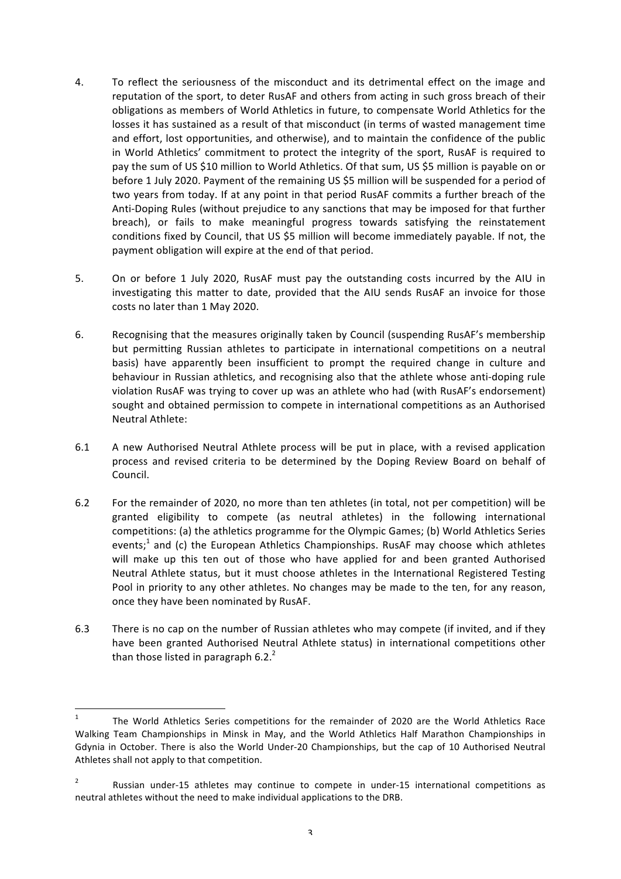- 4. To reflect the seriousness of the misconduct and its detrimental effect on the image and reputation of the sport, to deter RusAF and others from acting in such gross breach of their obligations as members of World Athletics in future, to compensate World Athletics for the losses it has sustained as a result of that misconduct (in terms of wasted management time and effort, lost opportunities, and otherwise), and to maintain the confidence of the public in World Athletics' commitment to protect the integrity of the sport, RusAF is required to pay the sum of US \$10 million to World Athletics. Of that sum, US \$5 million is payable on or before 1 July 2020. Payment of the remaining US \$5 million will be suspended for a period of two years from today. If at any point in that period RusAF commits a further breach of the Anti-Doping Rules (without prejudice to any sanctions that may be imposed for that further breach), or fails to make meaningful progress towards satisfying the reinstatement conditions fixed by Council, that US \$5 million will become immediately payable. If not, the payment obligation will expire at the end of that period.
- 5. On or before 1 July 2020, RusAF must pay the outstanding costs incurred by the AIU in investigating this matter to date, provided that the AIU sends RusAF an invoice for those costs no later than 1 May 2020.
- 6. Recognising that the measures originally taken by Council (suspending RusAF's membership but permitting Russian athletes to participate in international competitions on a neutral basis) have apparently been insufficient to prompt the required change in culture and behaviour in Russian athletics, and recognising also that the athlete whose anti-doping rule violation RusAF was trying to cover up was an athlete who had (with RusAF's endorsement) sought and obtained permission to compete in international competitions as an Authorised Neutral Athlete:
- 6.1 A new Authorised Neutral Athlete process will be put in place, with a revised application process and revised criteria to be determined by the Doping Review Board on behalf of Council.
- 6.2 For the remainder of 2020, no more than ten athletes (in total, not per competition) will be granted eligibility to compete (as neutral athletes) in the following international competitions: (a) the athletics programme for the Olympic Games; (b) World Athletics Series events;<sup>1</sup> and (c) the European Athletics Championships. RusAF may choose which athletes will make up this ten out of those who have applied for and been granted Authorised Neutral Athlete status, but it must choose athletes in the International Registered Testing Pool in priority to any other athletes. No changes may be made to the ten, for any reason, once they have been nominated by RusAF.
- 6.3 There is no cap on the number of Russian athletes who may compete (if invited, and if they have been granted Authorised Neutral Athlete status) in international competitions other than those listed in paragraph  $6.2<sup>2</sup>$

<sup>&</sup>lt;sup>1</sup> The World Athletics Series competitions for the remainder of 2020 are the World Athletics Race Walking Team Championships in Minsk in May, and the World Athletics Half Marathon Championships in Gdynia in October. There is also the World Under-20 Championships, but the cap of 10 Authorised Neutral Athletes shall not apply to that competition.

<sup>&</sup>lt;sup>2</sup> Russian under-15 athletes may continue to compete in under-15 international competitions as neutral athletes without the need to make individual applications to the DRB.